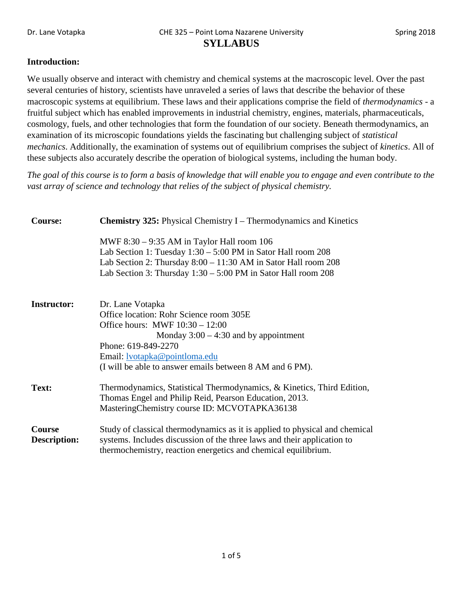## **Introduction:**

We usually observe and interact with chemistry and chemical systems at the macroscopic level. Over the past several centuries of history, scientists have unraveled a series of laws that describe the behavior of these macroscopic systems at equilibrium. These laws and their applications comprise the field of *thermodynamics* - a fruitful subject which has enabled improvements in industrial chemistry, engines, materials, pharmaceuticals, cosmology, fuels, and other technologies that form the foundation of our society. Beneath thermodynamics, an examination of its microscopic foundations yields the fascinating but challenging subject of *statistical mechanics*. Additionally, the examination of systems out of equilibrium comprises the subject of *kinetics*. All of these subjects also accurately describe the operation of biological systems, including the human body.

*The goal of this course is to form a basis of knowledge that will enable you to engage and even contribute to the vast array of science and technology that relies of the subject of physical chemistry.*

| <b>Course:</b>                | <b>Chemistry 325:</b> Physical Chemistry I – Thermodynamics and Kinetics                                                                                                                                                                                               |  |  |
|-------------------------------|------------------------------------------------------------------------------------------------------------------------------------------------------------------------------------------------------------------------------------------------------------------------|--|--|
|                               | MWF $8:30 - 9:35$ AM in Taylor Hall room 106<br>Lab Section 1: Tuesday 1:30 – 5:00 PM in Sator Hall room 208<br>Lab Section 2: Thursday $8:00 - 11:30$ AM in Sator Hall room 208<br>Lab Section 3: Thursday $1:30 - 5:00$ PM in Sator Hall room 208                    |  |  |
| <b>Instructor:</b>            | Dr. Lane Votapka<br>Office location: Rohr Science room 305E<br>Office hours: MWF $10:30 - 12:00$<br>Monday $3:00 - 4:30$ and by appointment<br>Phone: 619-849-2270<br>Email: <u>lvotapka@pointloma.edu</u><br>(I will be able to answer emails between 8 AM and 6 PM). |  |  |
| Text:                         | Thermodynamics, Statistical Thermodynamics, & Kinetics, Third Edition,<br>Thomas Engel and Philip Reid, Pearson Education, 2013.<br>MasteringChemistry course ID: MCVOTAPKA36138                                                                                       |  |  |
| Course<br><b>Description:</b> | Study of classical thermodynamics as it is applied to physical and chemical<br>systems. Includes discussion of the three laws and their application to<br>thermochemistry, reaction energetics and chemical equilibrium.                                               |  |  |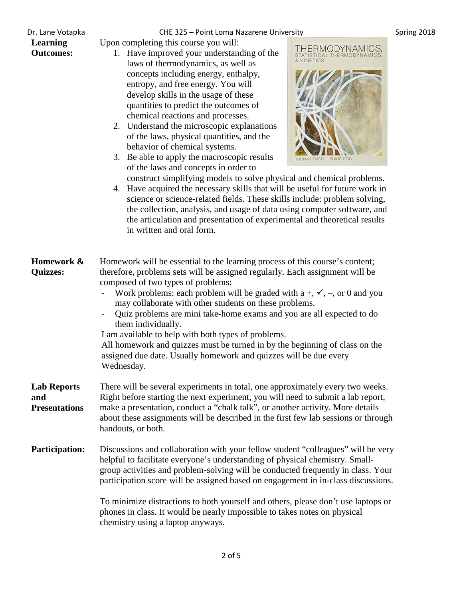## **Learning Outcomes:**

Dr. Lane Votapka **CHE 325 – Point Loma Nazarene University** Spring 2018

Upon completing this course you will:

- 1. Have improved your understanding of the laws of thermodynamics, as well as concepts including energy, enthalpy, entropy, and free energy. You will develop skills in the usage of these quantities to predict the outcomes of chemical reactions and processes.
- 2. Understand the microscopic explanations of the laws, physical quantities, and the behavior of chemical systems.
- 3. Be able to apply the macroscopic results of the laws and concepts in order to



construct simplifying models to solve physical and chemical problems. 4. Have acquired the necessary skills that will be useful for future work in science or science-related fields. These skills include: problem solving, the collection, analysis, and usage of data using computer software, and the articulation and presentation of experimental and theoretical results in written and oral form.

| Homework &<br><b>Quizzes:</b>                     | Homework will be essential to the learning process of this course's content;<br>therefore, problems sets will be assigned regularly. Each assignment will be<br>composed of two types of problems:<br>Work problems: each problem will be graded with a +, $\checkmark$ , -, or 0 and you<br>may collaborate with other students on these problems.<br>Quiz problems are mini take-home exams and you are all expected to do<br>them individually.<br>I am available to help with both types of problems.<br>All homework and quizzes must be turned in by the beginning of class on the<br>assigned due date. Usually homework and quizzes will be due every<br>Wednesday. |
|---------------------------------------------------|-----------------------------------------------------------------------------------------------------------------------------------------------------------------------------------------------------------------------------------------------------------------------------------------------------------------------------------------------------------------------------------------------------------------------------------------------------------------------------------------------------------------------------------------------------------------------------------------------------------------------------------------------------------------------------|
| <b>Lab Reports</b><br>and<br><b>Presentations</b> | There will be several experiments in total, one approximately every two weeks.<br>Right before starting the next experiment, you will need to submit a lab report,<br>make a presentation, conduct a "chalk talk", or another activity. More details<br>about these assignments will be described in the first few lab sessions or through<br>handouts, or both.                                                                                                                                                                                                                                                                                                            |
| <b>Participation:</b>                             | Discussions and collaboration with your fellow student "colleagues" will be very<br>helpful to facilitate everyone's understanding of physical chemistry. Small-<br>group activities and problem-solving will be conducted frequently in class. Your<br>participation score will be assigned based on engagement in in-class discussions.                                                                                                                                                                                                                                                                                                                                   |
|                                                   | To minimize distractions to both yourself and others, please don't use laptops or<br>phones in class. It would be nearly impossible to takes notes on physical<br>chemistry using a laptop anyways.                                                                                                                                                                                                                                                                                                                                                                                                                                                                         |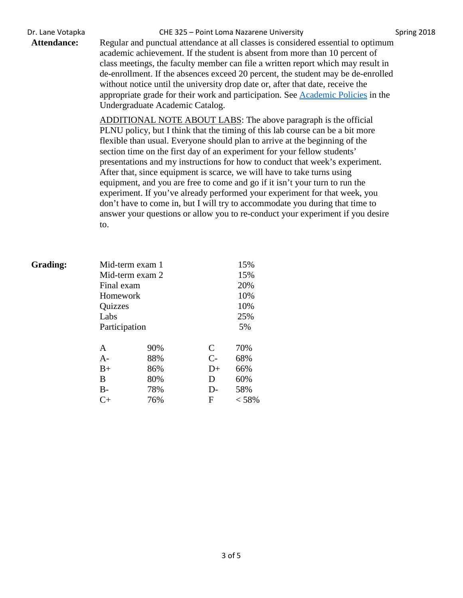Dr. Lane Votapka **CHE 325 – Point Loma Nazarene University** Spring 2018

Attendance: Regular and punctual attendance at all classes is considered essential to optimum academic achievement. If the student is absent from more than 10 percent of class meetings, the faculty member can file a written report which may result in de-enrollment. If the absences exceed 20 percent, the student may be de-enrolled without notice until the university drop date or, after that date, receive the appropriate grade for their work and participation. See [Academic Policies](http://catalog.pointloma.edu/content.php?catoid=18&navoid=1278) in the Undergraduate Academic Catalog.

> ADDITIONAL NOTE ABOUT LABS: The above paragraph is the official PLNU policy, but I think that the timing of this lab course can be a bit more flexible than usual. Everyone should plan to arrive at the beginning of the section time on the first day of an experiment for your fellow students' presentations and my instructions for how to conduct that week's experiment. After that, since equipment is scarce, we will have to take turns using equipment, and you are free to come and go if it isn't your turn to run the experiment. If you've already performed your experiment for that week, you don't have to come in, but I will try to accommodate you during that time to answer your questions or allow you to re-conduct your experiment if you desire to.

| <b>Grading:</b> | Mid-term exam 1 |     | 15%  |       |  |
|-----------------|-----------------|-----|------|-------|--|
|                 | Mid-term exam 2 |     |      | 15%   |  |
|                 | Final exam      |     | 20%  |       |  |
|                 | Homework        |     |      | 10%   |  |
|                 | Quizzes         |     |      | 10%   |  |
|                 | Labs            |     |      | 25%   |  |
|                 | Participation   |     |      | 5%    |  |
|                 | A               | 90% | C    | 70%   |  |
|                 | $A-$            | 88% | $C-$ | 68%   |  |
|                 | $B+$            | 86% | $D+$ | 66%   |  |
|                 | В               | 80% | D    | 60%   |  |
|                 | $B-$            | 78% | D-   | 58%   |  |
|                 | C+              | 76% | F    | < 58% |  |
|                 |                 |     |      |       |  |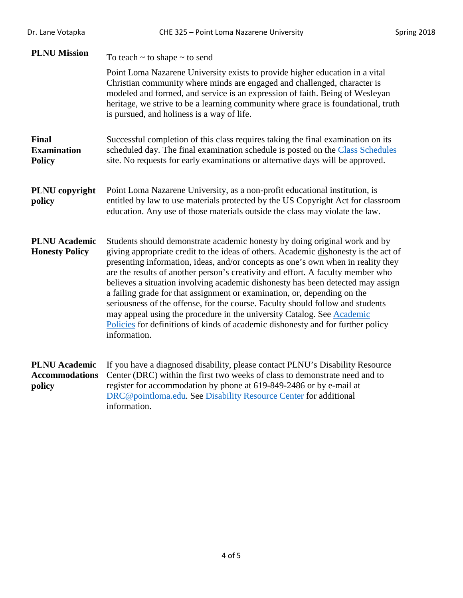| Dr. Lane Votapka                                        | CHE 325 - Point Loma Nazarene University                                                                                                                                                                                                                                                                                                                                                                                                                                                                                                                                                                                                                                                                                                                               | Spring 2018 |
|---------------------------------------------------------|------------------------------------------------------------------------------------------------------------------------------------------------------------------------------------------------------------------------------------------------------------------------------------------------------------------------------------------------------------------------------------------------------------------------------------------------------------------------------------------------------------------------------------------------------------------------------------------------------------------------------------------------------------------------------------------------------------------------------------------------------------------------|-------------|
| <b>PLNU Mission</b>                                     | To teach $\sim$ to shape $\sim$ to send                                                                                                                                                                                                                                                                                                                                                                                                                                                                                                                                                                                                                                                                                                                                |             |
|                                                         | Point Loma Nazarene University exists to provide higher education in a vital<br>Christian community where minds are engaged and challenged, character is<br>modeled and formed, and service is an expression of faith. Being of Wesleyan<br>heritage, we strive to be a learning community where grace is foundational, truth<br>is pursued, and holiness is a way of life.                                                                                                                                                                                                                                                                                                                                                                                            |             |
| <b>Final</b><br><b>Examination</b><br><b>Policy</b>     | Successful completion of this class requires taking the final examination on its<br>scheduled day. The final examination schedule is posted on the Class Schedules<br>site. No requests for early examinations or alternative days will be approved.                                                                                                                                                                                                                                                                                                                                                                                                                                                                                                                   |             |
| PLNU copyright<br>policy                                | Point Loma Nazarene University, as a non-profit educational institution, is<br>entitled by law to use materials protected by the US Copyright Act for classroom<br>education. Any use of those materials outside the class may violate the law.                                                                                                                                                                                                                                                                                                                                                                                                                                                                                                                        |             |
| <b>PLNU</b> Academic<br><b>Honesty Policy</b>           | Students should demonstrate academic honesty by doing original work and by<br>giving appropriate credit to the ideas of others. Academic dishonesty is the act of<br>presenting information, ideas, and/or concepts as one's own when in reality they<br>are the results of another person's creativity and effort. A faculty member who<br>believes a situation involving academic dishonesty has been detected may assign<br>a failing grade for that assignment or examination, or, depending on the<br>seriousness of the offense, for the course. Faculty should follow and students<br>may appeal using the procedure in the university Catalog. See Academic<br>Policies for definitions of kinds of academic dishonesty and for further policy<br>information. |             |
| <b>PLNU</b> Academic<br><b>Accommodations</b><br>policy | If you have a diagnosed disability, please contact PLNU's Disability Resource<br>Center (DRC) within the first two weeks of class to demonstrate need and to<br>register for accommodation by phone at 619-849-2486 or by e-mail at<br>DRC@pointloma.edu. See Disability Resource Center for additional<br>information.                                                                                                                                                                                                                                                                                                                                                                                                                                                |             |